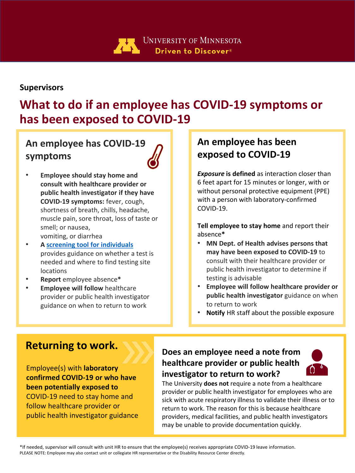

### **Supervisors**

# **What to do if an employee has COVID-19 symptoms or has been exposed to COVID-19**

## **An employee has COVID-19 symptoms**



- **Employee should stay home and consult with healthcare provider or public health investigator if they have COVID-19 symptoms:** fever, cough, shortness of breath, chills, headache, muscle pain, sore throat, loss of taste or smell; or nausea, vomiting, or diarrhea
- **A [screening tool for individuals](https://mn.gov/covid19/for-minnesotans/if-sick/get-tested/index.jsp)** provides guidance on whether a test is needed and where to find testing site locations
- **Report** employee absence**\***
- **Employee will follow** healthcare provider or public health investigator guidance on when to return to work

### **An employee has been exposed to COVID-19**

*Exposure* **is defined** as interaction closer than 6 feet apart for 15 minutes or longer, with or without personal protective equipment (PPE) with a person with laboratory-confirmed COVID-19.

**Tell employee to stay home** and report their absence**\***

- **MN Dept. of Health advises persons that may have been exposed to COVID-19** to consult with their healthcare provider or public health investigator to determine if testing is advisable
- **Employee will follow healthcare provider or public health investigator** guidance on when to return to work
- **Notify** HR staff about the possible exposure

### **Returning to work.**

Employee(s) with **laboratory confirmed COVID-19 or who have been potentially exposed to**  COVID-19 need to stay home and follow healthcare provider or public health investigator guidance

### **Does an employee need a note from healthcare provider or public health investigator to return to work?**



The University **does not** require a note from a healthcare provider or public health investigator for employees who are sick with acute respiratory illness to validate their illness or to return to work. The reason for this is because healthcare providers, medical facilities, and public health investigators may be unable to provide documentation quickly.

\*If needed, supervisor will consult with unit HR to ensure that the employee(s) receives appropriate COVID-19 leave information. PLEASE NOTE: Employee may also contact unit or collegiate HR representative or the Disability Resource Center directly.